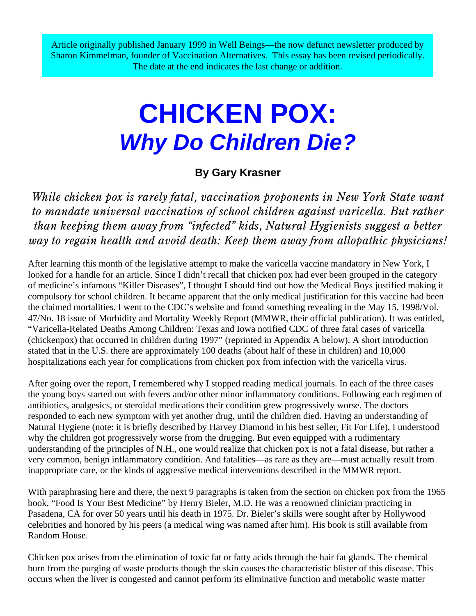Article originally published January 1999 in Well Beings—the now defunct newsletter produced by Sharon Kimmelman, founder of Vaccination Alternatives. This essay has been revised periodically. The date at the end indicates the last change or addition.

# **CHICKEN POX:** *Why Do Children Die?*

## **By Gary Krasner**

*While chicken pox is rarely fatal, vaccination proponents in New York State want to mandate universal vaccination of school children against varicella. But rather than keeping them away from "infected" kids, Natural Hygienists suggest a better way to regain health and avoid death: Keep them away from allopathic physicians!*

After learning this month of the legislative attempt to make the varicella vaccine mandatory in New York, I looked for a handle for an article. Since I didn't recall that chicken pox had ever been grouped in the category of medicine's infamous "Killer Diseases", I thought I should find out how the Medical Boys justified making it compulsory for school children. It became apparent that the only medical justification for this vaccine had been the claimed mortalities. I went to the CDC's website and found something revealing in the May 15, 1998/Vol. 47/No. 18 issue of Morbidity and Mortality Weekly Report (MMWR, their official publication). It was entitled, "Varicella-Related Deaths Among Children: Texas and Iowa notified CDC of three fatal cases of varicella (chickenpox) that occurred in children during 1997" (reprinted in Appendix A below). A short introduction stated that in the U.S. there are approximately 100 deaths (about half of these in children) and 10,000 hospitalizations each year for complications from chicken pox from infection with the varicella virus.

After going over the report, I remembered why I stopped reading medical journals. In each of the three cases the young boys started out with fevers and/or other minor inflammatory conditions. Following each regimen of antibiotics, analgesics, or steroidal medications their condition grew progressively worse. The doctors responded to each new symptom with yet another drug, until the children died. Having an understanding of Natural Hygiene (note: it is briefly described by Harvey Diamond in his best seller, Fit For Life), I understood why the children got progressively worse from the drugging. But even equipped with a rudimentary understanding of the principles of N.H., one would realize that chicken pox is not a fatal disease, but rather a very common, benign inflammatory condition. And fatalities—as rare as they are—must actually result from inappropriate care, or the kinds of aggressive medical interventions described in the MMWR report.

With paraphrasing here and there, the next 9 paragraphs is taken from the section on chicken pox from the 1965 book, "Food Is Your Best Medicine" by Henry Bieler, M.D. He was a renowned clinician practicing in Pasadena, CA for over 50 years until his death in 1975. Dr. Bieler's skills were sought after by Hollywood celebrities and honored by his peers (a medical wing was named after him). His book is still available from Random House.

Chicken pox arises from the elimination of toxic fat or fatty acids through the hair fat glands. The chemical burn from the purging of waste products though the skin causes the characteristic blister of this disease. This occurs when the liver is congested and cannot perform its eliminative function and metabolic waste matter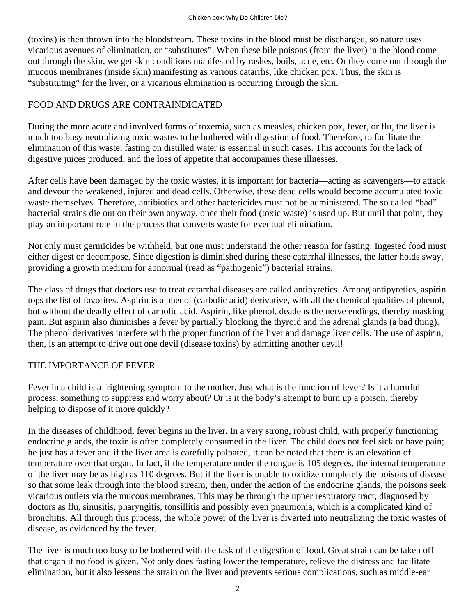(toxins) is then thrown into the bloodstream. These toxins in the blood must be discharged, so nature uses vicarious avenues of elimination, or "substitutes". When these bile poisons (from the liver) in the blood come out through the skin, we get skin conditions manifested by rashes, boils, acne, etc. Or they come out through the mucous membranes (inside skin) manifesting as various catarrhs, like chicken pox. Thus, the skin is "substituting" for the liver, or a vicarious elimination is occurring through the skin.

## FOOD AND DRUGS ARE CONTRAINDICATED

During the more acute and involved forms of toxemia, such as measles, chicken pox, fever, or flu, the liver is much too busy neutralizing toxic wastes to be bothered with digestion of food. Therefore, to facilitate the elimination of this waste, fasting on distilled water is essential in such cases. This accounts for the lack of digestive juices produced, and the loss of appetite that accompanies these illnesses.

After cells have been damaged by the toxic wastes, it is important for bacteria—acting as scavengers—to attack and devour the weakened, injured and dead cells. Otherwise, these dead cells would become accumulated toxic waste themselves. Therefore, antibiotics and other bactericides must not be administered. The so called "bad" bacterial strains die out on their own anyway, once their food (toxic waste) is used up. But until that point, they play an important role in the process that converts waste for eventual elimination.

Not only must germicides be withheld, but one must understand the other reason for fasting: Ingested food must either digest or decompose. Since digestion is diminished during these catarrhal illnesses, the latter holds sway, providing a growth medium for abnormal (read as "pathogenic") bacterial strains.

The class of drugs that doctors use to treat catarrhal diseases are called antipyretics. Among antipyretics, aspirin tops the list of favorites. Aspirin is a phenol (carbolic acid) derivative, with all the chemical qualities of phenol, but without the deadly effect of carbolic acid. Aspirin, like phenol, deadens the nerve endings, thereby masking pain. But aspirin also diminishes a fever by partially blocking the thyroid and the adrenal glands (a bad thing). The phenol derivatives interfere with the proper function of the liver and damage liver cells. The use of aspirin, then, is an attempt to drive out one devil (disease toxins) by admitting another devil!

#### THE IMPORTANCE OF FEVER

Fever in a child is a frightening symptom to the mother. Just what is the function of fever? Is it a harmful process, something to suppress and worry about? Or is it the body's attempt to burn up a poison, thereby helping to dispose of it more quickly?

In the diseases of childhood, fever begins in the liver. In a very strong, robust child, with properly functioning endocrine glands, the toxin is often completely consumed in the liver. The child does not feel sick or have pain; he just has a fever and if the liver area is carefully palpated, it can be noted that there is an elevation of temperature over that organ. In fact, if the temperature under the tongue is 105 degrees, the internal temperature of the liver may be as high as 110 degrees. But if the liver is unable to oxidize completely the poisons of disease so that some leak through into the blood stream, then, under the action of the endocrine glands, the poisons seek vicarious outlets via the mucous membranes. This may be through the upper respiratory tract, diagnosed by doctors as flu, sinusitis, pharyngitis, tonsillitis and possibly even pneumonia, which is a complicated kind of bronchitis. All through this process, the whole power of the liver is diverted into neutralizing the toxic wastes of disease, as evidenced by the fever.

The liver is much too busy to be bothered with the task of the digestion of food. Great strain can be taken off that organ if no food is given. Not only does fasting lower the temperature, relieve the distress and facilitate elimination, but it also lessens the strain on the liver and prevents serious complications, such as middle-ear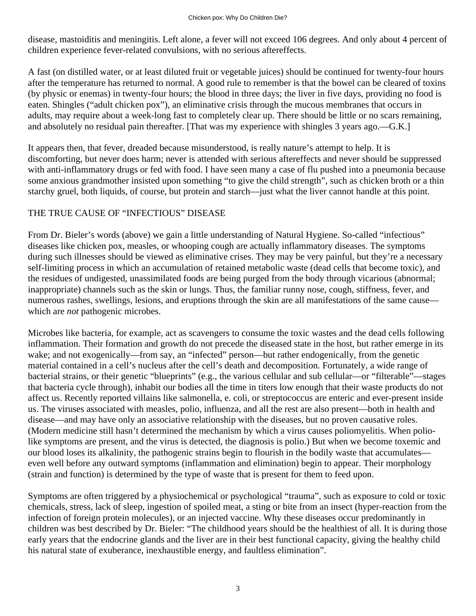disease, mastoiditis and meningitis. Left alone, a fever will not exceed 106 degrees. And only about 4 percent of children experience fever-related convulsions, with no serious aftereffects.

A fast (on distilled water, or at least diluted fruit or vegetable juices) should be continued for twenty-four hours after the temperature has returned to normal. A good rule to remember is that the bowel can be cleared of toxins (by physic or enemas) in twenty-four hours; the blood in three days; the liver in five days, providing no food is eaten. Shingles ("adult chicken pox"), an eliminative crisis through the mucous membranes that occurs in adults, may require about a week-long fast to completely clear up. There should be little or no scars remaining, and absolutely no residual pain thereafter. [That was my experience with shingles 3 years ago.—G.K.]

It appears then, that fever, dreaded because misunderstood, is really nature's attempt to help. It is discomforting, but never does harm; never is attended with serious aftereffects and never should be suppressed with anti-inflammatory drugs or fed with food. I have seen many a case of flu pushed into a pneumonia because some anxious grandmother insisted upon something "to give the child strength", such as chicken broth or a thin starchy gruel, both liquids, of course, but protein and starch—just what the liver cannot handle at this point.

## THE TRUE CAUSE OF "INFECTIOUS" DISEASE

From Dr. Bieler's words (above) we gain a little understanding of Natural Hygiene. So-called "infectious" diseases like chicken pox, measles, or whooping cough are actually inflammatory diseases. The symptoms during such illnesses should be viewed as eliminative crises. They may be very painful, but they're a necessary self-limiting process in which an accumulation of retained metabolic waste (dead cells that become toxic), and the residues of undigested, unassimilated foods are being purged from the body through vicarious (abnormal; inappropriate) channels such as the skin or lungs. Thus, the familiar runny nose, cough, stiffness, fever, and numerous rashes, swellings, lesions, and eruptions through the skin are all manifestations of the same cause which are *not* pathogenic microbes.

Microbes like bacteria, for example, act as scavengers to consume the toxic wastes and the dead cells following inflammation. Their formation and growth do not precede the diseased state in the host, but rather emerge in its wake; and not exogenically—from say, an "infected" person—but rather endogenically, from the genetic material contained in a cell's nucleus after the cell's death and decomposition. Fortunately, a wide range of bacterial strains, or their genetic "blueprints" (e.g., the various cellular and sub cellular—or "filterable"—stages that bacteria cycle through), inhabit our bodies all the time in titers low enough that their waste products do not affect us. Recently reported villains like salmonella, e. coli, or streptococcus are enteric and ever-present inside us. The viruses associated with measles, polio, influenza, and all the rest are also present—both in health and disease—and may have only an associative relationship with the diseases, but no proven causative roles. (Modern medicine still hasn't determined the mechanism by which a virus causes poliomyelitis. When poliolike symptoms are present, and the virus is detected, the diagnosis is polio.) But when we become toxemic and our blood loses its alkalinity, the pathogenic strains begin to flourish in the bodily waste that accumulates even well before any outward symptoms (inflammation and elimination) begin to appear. Their morphology (strain and function) is determined by the type of waste that is present for them to feed upon.

Symptoms are often triggered by a physiochemical or psychological "trauma", such as exposure to cold or toxic chemicals, stress, lack of sleep, ingestion of spoiled meat, a sting or bite from an insect (hyper-reaction from the infection of foreign protein molecules), or an injected vaccine. Why these diseases occur predominantly in children was best described by Dr. Bieler: "The childhood years should be the healthiest of all. It is during those early years that the endocrine glands and the liver are in their best functional capacity, giving the healthy child his natural state of exuberance, inexhaustible energy, and faultless elimination".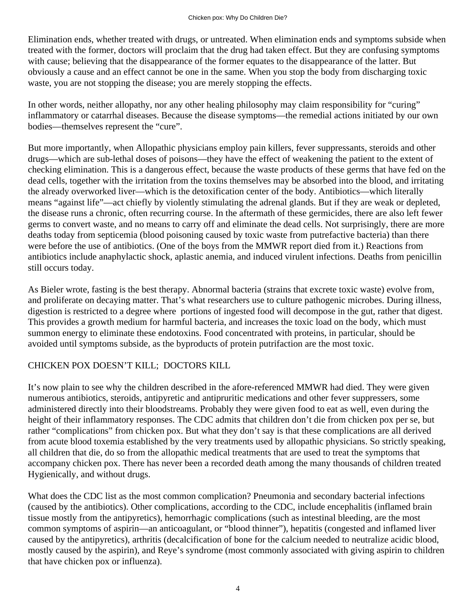Elimination ends, whether treated with drugs, or untreated. When elimination ends and symptoms subside when treated with the former, doctors will proclaim that the drug had taken effect. But they are confusing symptoms with cause; believing that the disappearance of the former equates to the disappearance of the latter. But obviously a cause and an effect cannot be one in the same. When you stop the body from discharging toxic waste, you are not stopping the disease; you are merely stopping the effects.

In other words, neither allopathy, nor any other healing philosophy may claim responsibility for "curing" inflammatory or catarrhal diseases. Because the disease symptoms—the remedial actions initiated by our own bodies—themselves represent the "cure".

But more importantly, when Allopathic physicians employ pain killers, fever suppressants, steroids and other drugs—which are sub-lethal doses of poisons—they have the effect of weakening the patient to the extent of checking elimination. This is a dangerous effect, because the waste products of these germs that have fed on the dead cells, together with the irritation from the toxins themselves may be absorbed into the blood, and irritating the already overworked liver—which is the detoxification center of the body. Antibiotics—which literally means "against life"—act chiefly by violently stimulating the adrenal glands. But if they are weak or depleted, the disease runs a chronic, often recurring course. In the aftermath of these germicides, there are also left fewer germs to convert waste, and no means to carry off and eliminate the dead cells. Not surprisingly, there are more deaths today from septicemia (blood poisoning caused by toxic waste from putrefactive bacteria) than there were before the use of antibiotics. (One of the boys from the MMWR report died from it.) Reactions from antibiotics include anaphylactic shock, aplastic anemia, and induced virulent infections. Deaths from penicillin still occurs today.

As Bieler wrote, fasting is the best therapy. Abnormal bacteria (strains that excrete toxic waste) evolve from, and proliferate on decaying matter. That's what researchers use to culture pathogenic microbes. During illness, digestion is restricted to a degree where portions of ingested food will decompose in the gut, rather that digest. This provides a growth medium for harmful bacteria, and increases the toxic load on the body, which must summon energy to eliminate these endotoxins. Food concentrated with proteins, in particular, should be avoided until symptoms subside, as the byproducts of protein putrifaction are the most toxic.

#### CHICKEN POX DOESN'T KILL; DOCTORS KILL

It's now plain to see why the children described in the afore-referenced MMWR had died. They were given numerous antibiotics, steroids, antipyretic and antipruritic medications and other fever suppressers, some administered directly into their bloodstreams. Probably they were given food to eat as well, even during the height of their inflammatory responses. The CDC admits that children don't die from chicken pox per se, but rather "complications" from chicken pox. But what they don't say is that these complications are all derived from acute blood toxemia established by the very treatments used by allopathic physicians. So strictly speaking, all children that die, do so from the allopathic medical treatments that are used to treat the symptoms that accompany chicken pox. There has never been a recorded death among the many thousands of children treated Hygienically, and without drugs.

What does the CDC list as the most common complication? Pneumonia and secondary bacterial infections (caused by the antibiotics). Other complications, according to the CDC, include encephalitis (inflamed brain tissue mostly from the antipyretics), hemorrhagic complications (such as intestinal bleeding, are the most common symptoms of aspirin—an anticoagulant, or "blood thinner"), hepatitis (congested and inflamed liver caused by the antipyretics), arthritis (decalcification of bone for the calcium needed to neutralize acidic blood, mostly caused by the aspirin), and Reye's syndrome (most commonly associated with giving aspirin to children that have chicken pox or influenza).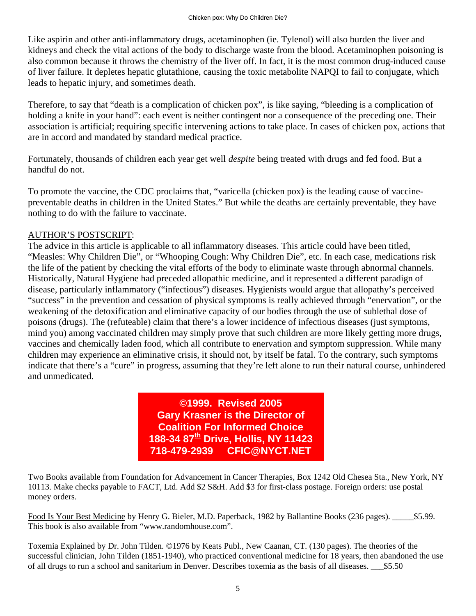Like aspirin and other anti-inflammatory drugs, acetaminophen (ie. Tylenol) will also burden the liver and kidneys and check the vital actions of the body to discharge waste from the blood. Acetaminophen poisoning is also common because it throws the chemistry of the liver off. In fact, it is the most common drug-induced cause of liver failure. It depletes hepatic glutathione, causing the toxic metabolite NAPQI to fail to conjugate, which leads to hepatic injury, and sometimes death.

Therefore, to say that "death is a complication of chicken pox", is like saying, "bleeding is a complication of holding a knife in your hand": each event is neither contingent nor a consequence of the preceding one. Their association is artificial; requiring specific intervening actions to take place. In cases of chicken pox, actions that are in accord and mandated by standard medical practice.

Fortunately, thousands of children each year get well *despite* being treated with drugs and fed food. But a handful do not.

To promote the vaccine, the CDC proclaims that, "varicella (chicken pox) is the leading cause of vaccinepreventable deaths in children in the United States." But while the deaths are certainly preventable, they have nothing to do with the failure to vaccinate.

## AUTHOR'S POSTSCRIPT:

The advice in this article is applicable to all inflammatory diseases. This article could have been titled, "Measles: Why Children Die", or "Whooping Cough: Why Children Die", etc. In each case, medications risk the life of the patient by checking the vital efforts of the body to eliminate waste through abnormal channels. Historically, Natural Hygiene had preceded allopathic medicine, and it represented a different paradign of disease, particularly inflammatory ("infectious") diseases. Hygienists would argue that allopathy's perceived "success" in the prevention and cessation of physical symptoms is really achieved through "enervation", or the weakening of the detoxification and eliminative capacity of our bodies through the use of sublethal dose of poisons (drugs). The (refuteable) claim that there's a lower incidence of infectious diseases (just symptoms, mind you) among vaccinated children may simply prove that such children are more likely getting more drugs, vaccines and chemically laden food, which all contribute to enervation and symptom suppression. While many children may experience an eliminative crisis, it should not, by itself be fatal. To the contrary, such symptoms indicate that there's a "cure" in progress, assuming that they're left alone to run their natural course, unhindered and unmedicated.

> **©1999. Revised 2005 Gary Krasner is the Director of Coalition For Informed Choice 188-34 87th Drive, Hollis, NY 11423 718-479-2939 CFIC@NYCT.NET**

Two Books available from Foundation for Advancement in Cancer Therapies, Box 1242 Old Chesea Sta., New York, NY 10113. Make checks payable to FACT, Ltd. Add \$2 S&H. Add \$3 for first-class postage. Foreign orders: use postal money orders.

Food Is Your Best Medicine by Henry G. Bieler, M.D. Paperback, 1982 by Ballantine Books (236 pages). \_\_\_\_\_\$5.99. This book is also available from "www.randomhouse.com".

Toxemia Explained by Dr. John Tilden. ©1976 by Keats Publ., New Caanan, CT. (130 pages). The theories of the successful clinician, John Tilden (1851-1940), who practiced conventional medicine for 18 years, then abandoned the use of all drugs to run a school and sanitarium in Denver. Describes toxemia as the basis of all diseases. \_\_\_\$5.50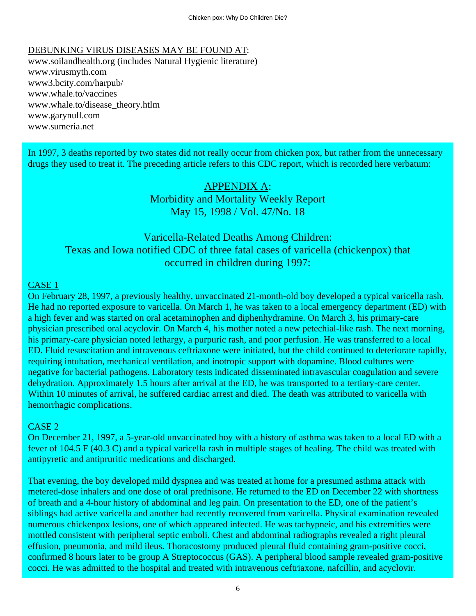### DEBUNKING VIRUS DISEASES MAY BE FOUND AT:

www.soilandhealth.org (includes Natural Hygienic literature) www.virusmyth.com www3.bcity.com/harpub/ www.whale.to/vaccines www.whale.to/disease\_theory.htlm www.garynull.com www.sumeria.net

In 1997, 3 deaths reported by two states did not really occur from chicken pox, but rather from the unnecessary drugs they used to treat it. The preceding article refers to this CDC report, which is recorded here verbatum:

## APPENDIX A: Morbidity and Mortality Weekly Report May 15, 1998 / Vol. 47/No. 18

## Varicella-Related Deaths Among Children: Texas and Iowa notified CDC of three fatal cases of varicella (chickenpox) that occurred in children during 1997:

#### CASE 1

On February 28, 1997, a previously healthy, unvaccinated 21-month-old boy developed a typical varicella rash. He had no reported exposure to varicella. On March 1, he was taken to a local emergency department (ED) with a high fever and was started on oral acetaminophen and diphenhydramine. On March 3, his primary-care physician prescribed oral acyclovir. On March 4, his mother noted a new petechial-like rash. The next morning, his primary-care physician noted lethargy, a purpuric rash, and poor perfusion. He was transferred to a local ED. Fluid resuscitation and intravenous ceftriaxone were initiated, but the child continued to deteriorate rapidly, requiring intubation, mechanical ventilation, and inotropic support with dopamine. Blood cultures were negative for bacterial pathogens. Laboratory tests indicated disseminated intravascular coagulation and severe dehydration. Approximately 1.5 hours after arrival at the ED, he was transported to a tertiary-care center. Within 10 minutes of arrival, he suffered cardiac arrest and died. The death was attributed to varicella with hemorrhagic complications.

#### CASE 2

On December 21, 1997, a 5-year-old unvaccinated boy with a history of asthma was taken to a local ED with a fever of 104.5 F (40.3 C) and a typical varicella rash in multiple stages of healing. The child was treated with antipyretic and antipruritic medications and discharged.

That evening, the boy developed mild dyspnea and was treated at home for a presumed asthma attack with metered-dose inhalers and one dose of oral prednisone. He returned to the ED on December 22 with shortness of breath and a 4-hour history of abdominal and leg pain. On presentation to the ED, one of the patient's siblings had active varicella and another had recently recovered from varicella. Physical examination revealed numerous chickenpox lesions, one of which appeared infected. He was tachypneic, and his extremities were mottled consistent with peripheral septic emboli. Chest and abdominal radiographs revealed a right pleural effusion, pneumonia, and mild ileus. Thoracostomy produced pleural fluid containing gram-positive cocci, confirmed 8 hours later to be group A Streptococcus (GAS). A peripheral blood sample revealed gram-positive cocci. He was admitted to the hospital and treated with intravenous ceftriaxone, nafcillin, and acyclovir.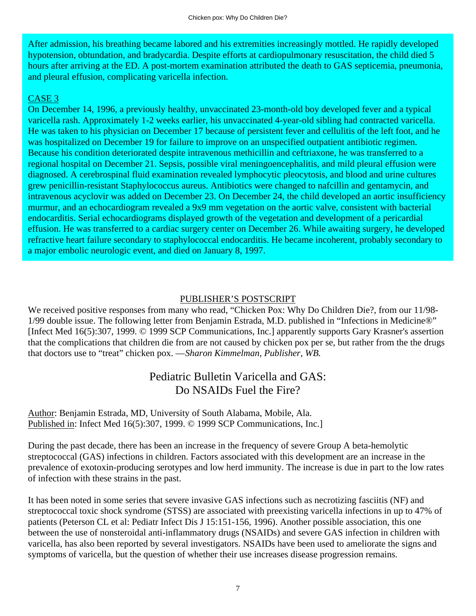After admission, his breathing became labored and his extremities increasingly mottled. He rapidly developed hypotension, obtundation, and bradycardia. Despite efforts at cardiopulmonary resuscitation, the child died 5 hours after arriving at the ED. A post-mortem examination attributed the death to GAS septicemia, pneumonia, and pleural effusion, complicating varicella infection.

## CASE 3

On December 14, 1996, a previously healthy, unvaccinated 23-month-old boy developed fever and a typical varicella rash. Approximately 1-2 weeks earlier, his unvaccinated 4-year-old sibling had contracted varicella. He was taken to his physician on December 17 because of persistent fever and cellulitis of the left foot, and he was hospitalized on December 19 for failure to improve on an unspecified outpatient antibiotic regimen. Because his condition deteriorated despite intravenous methicillin and ceftriaxone, he was transferred to a regional hospital on December 21. Sepsis, possible viral meningoencephalitis, and mild pleural effusion were diagnosed. A cerebrospinal fluid examination revealed lymphocytic pleocytosis, and blood and urine cultures grew penicillin-resistant Staphylococcus aureus. Antibiotics were changed to nafcillin and gentamycin, and intravenous acyclovir was added on December 23. On December 24, the child developed an aortic insufficiency murmur, and an echocardiogram revealed a 9x9 mm vegetation on the aortic valve, consistent with bacterial endocarditis. Serial echocardiograms displayed growth of the vegetation and development of a pericardial effusion. He was transferred to a cardiac surgery center on December 26. While awaiting surgery, he developed refractive heart failure secondary to staphylococcal endocarditis. He became incoherent, probably secondary to a major embolic neurologic event, and died on January 8, 1997.

#### PUBLISHER'S POSTSCRIPT

We received positive responses from many who read, "Chicken Pox: Why Do Children Die?, from our 11/98-1/99 double issue. The following letter from Benjamin Estrada, M.D. published in "Infections in Medicine®" [Infect Med 16(5):307, 1999. © 1999 SCP Communications, Inc.] apparently supports Gary Krasner's assertion that the complications that children die from are not caused by chicken pox per se, but rather from the the drugs that doctors use to "treat" chicken pox. —*Sharon Kimmelman, Publisher, WB.*

# Pediatric Bulletin Varicella and GAS: Do NSAIDs Fuel the Fire?

Author: Benjamin Estrada, MD, University of South Alabama, Mobile, Ala. Published in: Infect Med 16(5):307, 1999. © 1999 SCP Communications, Inc.]

During the past decade, there has been an increase in the frequency of severe Group A beta-hemolytic streptococcal (GAS) infections in children. Factors associated with this development are an increase in the prevalence of exotoxin-producing serotypes and low herd immunity. The increase is due in part to the low rates of infection with these strains in the past.

It has been noted in some series that severe invasive GAS infections such as necrotizing fasciitis (NF) and streptococcal toxic shock syndrome (STSS) are associated with preexisting varicella infections in up to 47% of patients (Peterson CL et al: Pediatr Infect Dis J 15:151-156, 1996). Another possible association, this one between the use of nonsteroidal anti-inflammatory drugs (NSAIDs) and severe GAS infection in children with varicella, has also been reported by several investigators. NSAIDs have been used to ameliorate the signs and symptoms of varicella, but the question of whether their use increases disease progression remains.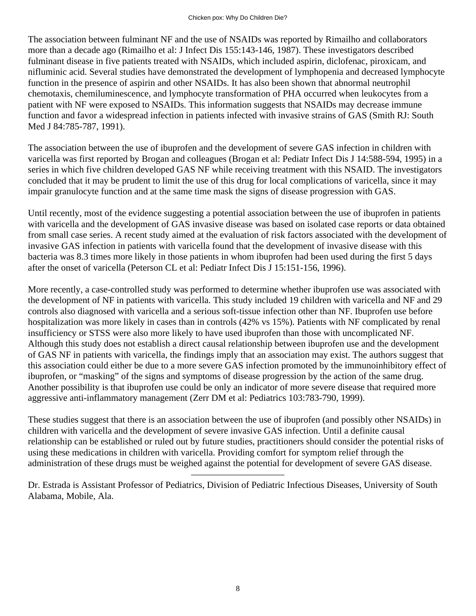The association between fulminant NF and the use of NSAIDs was reported by Rimailho and collaborators more than a decade ago (Rimailho et al: J Infect Dis 155:143-146, 1987). These investigators described fulminant disease in five patients treated with NSAIDs, which included aspirin, diclofenac, piroxicam, and nifluminic acid. Several studies have demonstrated the development of lymphopenia and decreased lymphocyte function in the presence of aspirin and other NSAIDs. It has also been shown that abnormal neutrophil chemotaxis, chemiluminescence, and lymphocyte transformation of PHA occurred when leukocytes from a patient with NF were exposed to NSAIDs. This information suggests that NSAIDs may decrease immune function and favor a widespread infection in patients infected with invasive strains of GAS (Smith RJ: South Med J 84:785-787, 1991).

The association between the use of ibuprofen and the development of severe GAS infection in children with varicella was first reported by Brogan and colleagues (Brogan et al: Pediatr Infect Dis J 14:588-594, 1995) in a series in which five children developed GAS NF while receiving treatment with this NSAID. The investigators concluded that it may be prudent to limit the use of this drug for local complications of varicella, since it may impair granulocyte function and at the same time mask the signs of disease progression with GAS.

Until recently, most of the evidence suggesting a potential association between the use of ibuprofen in patients with varicella and the development of GAS invasive disease was based on isolated case reports or data obtained from small case series. A recent study aimed at the evaluation of risk factors associated with the development of invasive GAS infection in patients with varicella found that the development of invasive disease with this bacteria was 8.3 times more likely in those patients in whom ibuprofen had been used during the first 5 days after the onset of varicella (Peterson CL et al: Pediatr Infect Dis J 15:151-156, 1996).

More recently, a case-controlled study was performed to determine whether ibuprofen use was associated with the development of NF in patients with varicella. This study included 19 children with varicella and NF and 29 controls also diagnosed with varicella and a serious soft-tissue infection other than NF. Ibuprofen use before hospitalization was more likely in cases than in controls (42% vs 15%). Patients with NF complicated by renal insufficiency or STSS were also more likely to have used ibuprofen than those with uncomplicated NF. Although this study does not establish a direct causal relationship between ibuprofen use and the development of GAS NF in patients with varicella, the findings imply that an association may exist. The authors suggest that this association could either be due to a more severe GAS infection promoted by the immunoinhibitory effect of ibuprofen, or "masking" of the signs and symptoms of disease progression by the action of the same drug. Another possibility is that ibuprofen use could be only an indicator of more severe disease that required more aggressive anti-inflammatory management (Zerr DM et al: Pediatrics 103:783-790, 1999).

These studies suggest that there is an association between the use of ibuprofen (and possibly other NSAIDs) in children with varicella and the development of severe invasive GAS infection. Until a definite causal relationship can be established or ruled out by future studies, practitioners should consider the potential risks of using these medications in children with varicella. Providing comfort for symptom relief through the administration of these drugs must be weighed against the potential for development of severe GAS disease.

——————————

Dr. Estrada is Assistant Professor of Pediatrics, Division of Pediatric Infectious Diseases, University of South Alabama, Mobile, Ala.